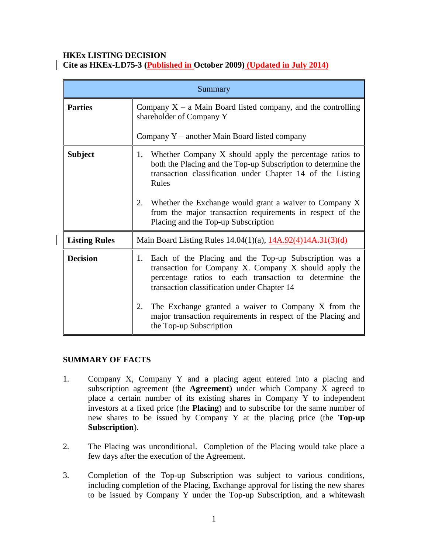## **HKEx LISTING DECISION**

**Cite as HKEx-LD75-3 (Published in October 2009) (Updated in July 2014)**

| Summary              |                                                                                                                                                                                                                               |
|----------------------|-------------------------------------------------------------------------------------------------------------------------------------------------------------------------------------------------------------------------------|
| <b>Parties</b>       | Company $X - a$ Main Board listed company, and the controlling<br>shareholder of Company Y                                                                                                                                    |
|                      | Company $Y$ – another Main Board listed company                                                                                                                                                                               |
| <b>Subject</b>       | 1. Whether Company X should apply the percentage ratios to<br>both the Placing and the Top-up Subscription to determine the<br>transaction classification under Chapter 14 of the Listing<br>Rules                            |
|                      | Whether the Exchange would grant a waiver to Company X<br>2.<br>from the major transaction requirements in respect of the<br>Placing and the Top-up Subscription                                                              |
| <b>Listing Rules</b> | Main Board Listing Rules 14.04(1)(a), 14A.92(4)14A.31(3)(d)                                                                                                                                                                   |
| <b>Decision</b>      | Each of the Placing and the Top-up Subscription was a<br>1.<br>transaction for Company X. Company X should apply the<br>percentage ratios to each transaction to determine the<br>transaction classification under Chapter 14 |
|                      | The Exchange granted a waiver to Company X from the<br>2.<br>major transaction requirements in respect of the Placing and<br>the Top-up Subscription                                                                          |

#### **SUMMARY OF FACTS**

- 1. Company X, Company Y and a placing agent entered into a placing and subscription agreement (the **Agreement**) under which Company X agreed to place a certain number of its existing shares in Company Y to independent investors at a fixed price (the **Placing**) and to subscribe for the same number of new shares to be issued by Company Y at the placing price (the **Top-up Subscription**).
- 2. The Placing was unconditional. Completion of the Placing would take place a few days after the execution of the Agreement.
- 3. Completion of the Top-up Subscription was subject to various conditions, including completion of the Placing, Exchange approval for listing the new shares to be issued by Company Y under the Top-up Subscription, and a whitewash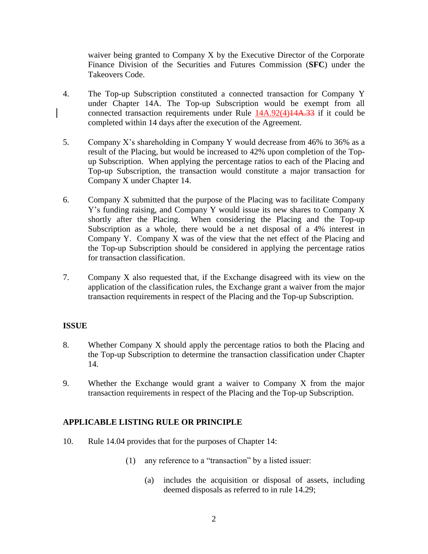waiver being granted to Company X by the Executive Director of the Corporate Finance Division of the Securities and Futures Commission (**SFC**) under the Takeovers Code.

- 4. The Top-up Subscription constituted a connected transaction for Company Y under Chapter 14A. The Top-up Subscription would be exempt from all connected transaction requirements under Rule 14A.92(4)14A.33 if it could be completed within 14 days after the execution of the Agreement.
- 5. Company X's shareholding in Company Y would decrease from 46% to 36% as a result of the Placing, but would be increased to 42% upon completion of the Topup Subscription. When applying the percentage ratios to each of the Placing and Top-up Subscription, the transaction would constitute a major transaction for Company X under Chapter 14.
- 6. Company X submitted that the purpose of the Placing was to facilitate Company Y's funding raising, and Company Y would issue its new shares to Company X shortly after the Placing. When considering the Placing and the Top-up Subscription as a whole, there would be a net disposal of a 4% interest in Company Y. Company X was of the view that the net effect of the Placing and the Top-up Subscription should be considered in applying the percentage ratios for transaction classification.
- 7. Company X also requested that, if the Exchange disagreed with its view on the application of the classification rules, the Exchange grant a waiver from the major transaction requirements in respect of the Placing and the Top-up Subscription.

#### **ISSUE**

- 8. Whether Company X should apply the percentage ratios to both the Placing and the Top-up Subscription to determine the transaction classification under Chapter 14.
- 9. Whether the Exchange would grant a waiver to Company X from the major transaction requirements in respect of the Placing and the Top-up Subscription.

# **APPLICABLE LISTING RULE OR PRINCIPLE**

- 10. Rule 14.04 provides that for the purposes of Chapter 14:
	- (1) any reference to a "transaction" by a listed issuer:
		- (a) includes the acquisition or disposal of assets, including deemed disposals as referred to in rule 14.29;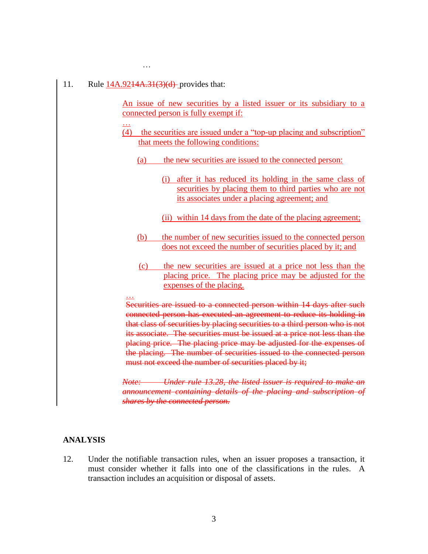#### 11. Rule  $14A.9244A.31(3)(d)$ -provides that:

…

An issue of new securities by a listed issuer or its subsidiary to a connected person is fully exempt if:

- … (4) the securities are issued under a "top-up placing and subscription" that meets the following conditions:
	- (a) the new securities are issued to the connected person:
		- (i) after it has reduced its holding in the same class of securities by placing them to third parties who are not its associates under a placing agreement; and
		- (ii) within 14 days from the date of the placing agreement;
	- (b) the number of new securities issued to the connected person does not exceed the number of securities placed by it; and
	- (c) the new securities are issued at a price not less than the placing price. The placing price may be adjusted for the expenses of the placing.

# …

Securities are issued to a connected person within 14 days after such connected person has executed an agreement to reduce its holding in that class of securities by placing securities to a third person who is not its associate. The securities must be issued at a price not less than the placing price. The placing price may be adjusted for the expenses of the placing. The number of securities issued to the connected person must not exceed the number of securities placed by it;

*Note: Under rule 13.28, the listed issuer is required to make an announcement containing details of the placing and subscription of shares by the connected person.*

#### **ANALYSIS**

12. Under the notifiable transaction rules, when an issuer proposes a transaction, it must consider whether it falls into one of the classifications in the rules. A transaction includes an acquisition or disposal of assets.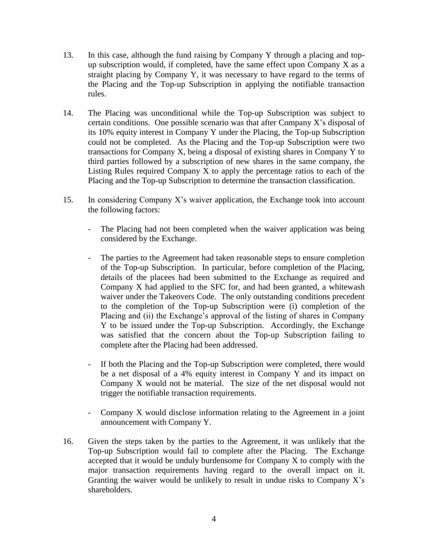- 13. In this case, although the fund raising by Company Y through a placing and topup subscription would, if completed, have the same effect upon Company X as a straight placing by Company Y, it was necessary to have regard to the terms of the Placing and the Top-up Subscription in applying the notifiable transaction rules.
- 14. The Placing was unconditional while the Top-up Subscription was subject to certain conditions. One possible scenario was that after Company X's disposal of its 10% equity interest in Company Y under the Placing, the Top-up Subscription could not be completed. As the Placing and the Top-up Subscription were two transactions for Company X, being a disposal of existing shares in Company Y to third parties followed by a subscription of new shares in the same company, the Listing Rules required Company X to apply the percentage ratios to each of the Placing and the Top-up Subscription to determine the transaction classification.
- 15. In considering Company X's waiver application, the Exchange took into account the following factors:
	- The Placing had not been completed when the waiver application was being considered by the Exchange.
	- The parties to the Agreement had taken reasonable steps to ensure completion of the Top-up Subscription. In particular, before completion of the Placing, details of the placees had been submitted to the Exchange as required and Company X had applied to the SFC for, and had been granted, a whitewash waiver under the Takeovers Code. The only outstanding conditions precedent to the completion of the Top-up Subscription were (i) completion of the Placing and (ii) the Exchange's approval of the listing of shares in Company Y to be issued under the Top-up Subscription. Accordingly, the Exchange was satisfied that the concern about the Top-up Subscription failing to complete after the Placing had been addressed.
	- If both the Placing and the Top-up Subscription were completed, there would be a net disposal of a 4% equity interest in Company Y and its impact on Company X would not be material. The size of the net disposal would not trigger the notifiable transaction requirements.
	- Company X would disclose information relating to the Agreement in a joint announcement with Company Y.
- 16. Given the steps taken by the parties to the Agreement, it was unlikely that the Top-up Subscription would fail to complete after the Placing. The Exchange accepted that it would be unduly burdensome for Company X to comply with the major transaction requirements having regard to the overall impact on it. Granting the waiver would be unlikely to result in undue risks to Company  $X$ 's shareholders.